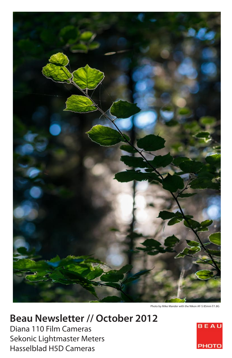

Photo by Mike Mander with the Nikon AF-S 85mm f/1.8G

# **Beau Newsletter // October 2012**

Diana 110 Film Cameras Sekonic Lightmaster Meters Hasselblad H5D Cameras

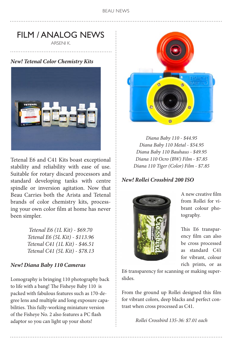# FILM / ANALOG NEWS

ARSENI K.

*New! Tetenal Color Chemistry Kits*



Tetenal E6 and C41 Kits boast exceptional stability and reliability with ease of use. Suitable for rotary discard processors and standard developing tanks with centre spindle or inversion agitation. Now that Beau Carries both the Arista and Tetenal brands of color chemistry kits, processing your own color film at home has never been simpler.

> *Tetenal E6 (1L Kit) - \$69.70 Tetenal E6 (5L Kit) - \$113.96 Tetenal C41 (1L Kit) - \$46.51 Tetenal C41 (5L Kit) - \$78.13*

### *New! Diana Baby 110 Cameras*

Lomography is bringing 110 photography back to life with a bang! The Fisheye Baby 110 is packed with fabulous features such as 170-degree lens and multiple and long exposure capabilities. This fully-working miniature version of the Fisheye No. 2 also features a PC flash adaptor so you can light up your shots!



*Diana Baby 110 - \$44.95 Diana Baby 110 Metal - \$54.95 Diana Baby 110 Bauhaus - \$49.95 Diana 110 Ocro (BW) Film - \$7.85 Diana 110 Tiger (Color) Film - \$7.85*

### *New! Rollei Crossbird 200 ISO*



A new creative film from Rollei for vibrant colour photography.

This E6 transparency film can also be cross processed as standard C41 for vibrant, colour rich prints, or as

E6 transparency for scanning or making superslides.

From the ground up Rollei designed this film for vibrant colors, deep blacks and perfect contrast when cross processed as C41.

*Rollei Crossbird 135-36: \$7.01 each*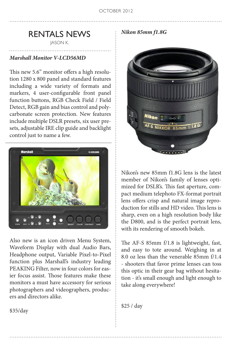### RENTALS NEWS

JASON K.

#### *Marshall Monitor V-LCD56MD*

This new 5.6" monitor offers a high resolution 1280 x 800 panel and standard features including a wide variety of formats and markers, 4 user-configurable front panel function buttons, RGB Check Field / Field Detect, RGB gain and bias control and polycarbonate screen protection. New features include multiple DSLR presets, six user presets, adjustable IRE clip guide and backlight control just to name a few.



Also new is an icon driven Menu System, Waveform Display with dual Audio Bars, Headphone output, Variable Pixel-to-Pixel function plus Marshall's industry leading PEAKING Filter, now in four colors for easier focus assist. Those features make these monitors a must have accessory for serious photographers and videographers, producers and directors alike.

*Nikon 85mm f1.8G*



Nikon's new 85mm f1.8G lens is the latest member of Nikon's family of lenses optimized for DSLR's. This fast aperture, compact medium telephoto FX-format portrait lens offers crisp and natural image reproduction for stills and HD video. This lens is sharp, even on a high resolution body like the D800, and is the perfect portrait lens, with its rendering of smooth bokeh.

The AF-S 85mm f/1.8 is lightweight, fast, and easy to tote around. Weighing in at 8.0 oz less than the venerable 85mm f/1.4 - shooters that favor prime lenses can toss this optic in their gear bag without hesitation - it's small enough and light enough to take along everywhere!

\$25 / day

\$35/day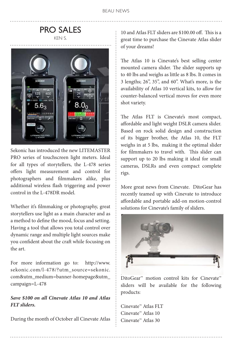### PRO SALES KEN S.



Sekonic has introduced the new LITEMASTER PRO series of touchscreen light meters. Ideal for all types of storytellers, the L-478 series offers light measurement and control for photographers and filmmakers alike, plus additional wireless flash triggering and power control in the L-478DR model.

Whether it's filmmaking or photography, great storytellers use light as a main character and as a method to define the mood, focus and setting. Having a tool that allows you total control over dynamic range and multiple light sources make you confident about the craft while focusing on the art.

For more information go to: [http://www.](http://www.sekonic.com/l-478/?utm_source=sekonic.com&utm_medium=banner-homepage&utm_campaign=L-478) [sekonic.com/l-478/?utm\\_source=sekonic.](http://www.sekonic.com/l-478/?utm_source=sekonic.com&utm_medium=banner-homepage&utm_campaign=L-478) [com&utm\\_medium=banner-homepage&utm\\_](http://www.sekonic.com/l-478/?utm_source=sekonic.com&utm_medium=banner-homepage&utm_campaign=L-478) [campaign=L-478](http://www.sekonic.com/l-478/?utm_source=sekonic.com&utm_medium=banner-homepage&utm_campaign=L-478)

#### *Save \$100 on all Cinevate Atlas 10 and Atlas FLT sliders.*

During the month of October all Cinevate Atlas

10 and Atlas FLT sliders are \$100.00 off. This is a great time to purchase the Cinevate Atlas slider of your dreams!

The Atlas 10 is Cinevate's best selling center mounted camera slider. The slider supports up to 40 lbs and weighs as little as 8 lbs. It comes in 3 lengths; 26", 35", and 60". What's more, is the availability of Atlas 10 vertical kits, to allow for counter-balanced vertical moves for even more shot variety.

The Atlas FLT is Cinevate's most compact, affordable and light weight DSLR camera slider. Based on rock solid design and construction of its bigger brother, the Atlas 10, the FLT weighs in at 5 lbs, making it the optimal slider for filmmakers to travel with. This slider can support up to 20 lbs making it ideal for small cameras, DSLRs and even compact complete rigs.

More great news from Cinevate. DitoGear has recently teamed up with Cinevate to introduce affordable and portable add-on motion-control solutions for Cinevate's family of sliders.



DitoGear™ motion control kits for Cinevate™ sliders will be available for the following products:

Cinevate™ Atlas FLT Cinevate™ Atlas 10 Cinevate™ Atlas 30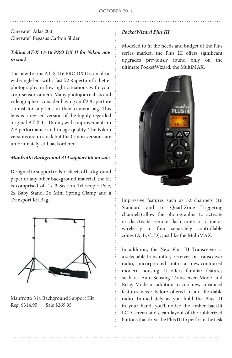Cinevate™ Atlas 200 Cinevate™ Pegasus Carbon Slider

#### *Tokina AT-X 11-16 PRO DX II for Nikon now in stock*

The new Tokina AT-X 116 PRO DX II is an ultrawide angle lens with a fast f/2.8 aperture for better photography in low-light situations with your crop-sensor camera. Many photojournalists and videographers consider having an f/2.8 aperture a must for any lens in their camera bag. This lens is a revised version of the highly regarded original AT-X 11-16mm, with improvements in AF performance and image quality. The Nikon versions are in stock but the Canon versions are unfortunately still backordered.

#### *Manfrotto Background 314 support kit on sale*

Designed to support rolls or sheets of background paper or any other background material, the kit is comprised of: 1x 3 Section Telescopic Pole, 2x Baby Stand, 2x Mini Spring Clamp and a Transport Kit Bag.



Manfrotto 314 Background Support Kit Reg. \$314.95 Sale \$269.95

#### *PocketWizard Plus III*

Modeled to fit the needs and budget of the Plus series market, the Plus III offers significant upgrades previously found only on the ultimate PocketWizard: the MultiMAX.



Impressive features such as 32 channels (16 Standard and 16 Quad-Zone Triggering channels) allow the photographer to activate or deactivate remote flash units or cameras wirelessly in four separately controllable zones (A, B, C, D), just like the MultiMAX.

In addition, the New Plus III Transceiver is a selectable transmitter, receiver or transceiver radio, incorporated into a new contoured modern housing. It offers familiar features such as Auto-Sensing Transceiver Mode and Relay Mode in addition to cool new advanced features never before offered in an affordable radio. Immediately as you hold the Plus III in your hand, you'll notice the amber backlit LCD screen and clean layout of the rubberized buttons that drive the Plus III to perform the task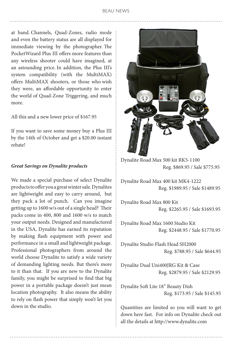at hand. Channels, Quad-Zones, radio mode and even the battery status are all displayed for immediate viewing by the photographer. The PocketWizard Plus III offers more features than any wireless shooter could have imagined, at an astounding price. In addition, the Plus III's system compatibility (with the MultiMAX) offers MultiMAX shooters, or those who wish they were, an affordable opportunity to enter the world of Quad-Zone Triggering, and much more.

All this and a new lower price of \$167.95

If you want to save some money buy a Plus III by the 14th of October and get a \$20.00 instant rebate!

#### *Great Savings on Dynalite products*

We made a special purchase of select Dynalite products to offer you a great winter sale. Dynalites are lightweight and easy to carry around, but they pack a lot of punch. Can you imagine getting up to 1600 w/s out of a single head? Their packs come in 400, 800 and 1600 w/s to match your output needs. Designed and manufactured in the USA, Dynalite has earned its reputation by making flash equipment with power and performance in a small and lightweight package. Professional photographers from around the world choose Dynalite to satisfy a wide variety of demanding lighting needs. But there's more to it than that. If you are new to the Dynalite family, you might be surprised to find that big power in a portable package doesn't just mean location photography. It also means the ability to rely on flash power that simply won't let you down in the studio.



Dynalite Road Max 500 kit RK5-1100 Reg. \$869.95 / Sale \$775.95

Dynalite Road Max 400 kit MK4-1222 Reg. \$1989.95 / Sale \$1489.95

Dynalite Road Max 800 Kit Reg. \$2265.95 / Sale \$1693.95

Dynalite Road Max 1600 Studio Kit Reg. \$2448.95 / Sale \$1770.95

Dynalite Studio Flash Head SH2000 Reg. \$788.95 / Sale \$644.95

Dynalite Dual Uni400JRG Kit & Case Reg. \$2879.95 / Sale \$2129.95

Dynalite Soft Lite 18" Beauty Dish Reg. \$173.95 / Sale \$145.95

Quantities are limited so you will want to get down here fast. For info on Dynalite check out all the details at <http://www.dynalite.com>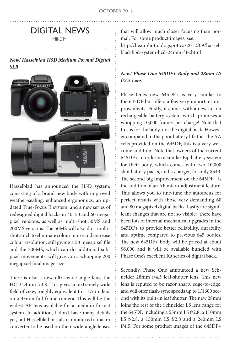# DIGITAL NEWS

MIKE M.

#### *New! Hasselblad H5D Medium Format Digital SLR*



Hasselblad has announced the H5D system, consisting of a brand new body with improved weather-sealing, enhanced ergonomics, an updated True-Focus II system, and a new series of redesigned digital backs in 40, 50 and 60 megapixel versions, as well as multi-shot 50MS and 200MS versions. The 50MS will also do a multishot stitch to eliminate colour moiré and increase colour resolution, still giving a 50 megapixel file and the 200MS, which can do additional subpixel movements, will give you a whopping 200 megapixel final image size.

There is also a new ultra-wide-angle lens, the HCD 24mm f/4.8. This gives an extremely wide field of view, roughly equivalent to a 17mm lens on a 35mm full-frame camera. This will be the widest AF lens available for a medium format system. In addition, I don't have many details yet, but Hasselblad has also announced a macro converter to be used on their wide-angle lenses that will allow much closer focusing than normal. For some product images, see: [http://beauphoto.blogspot.ca/2012/09/hassel](http://beauphoto.blogspot.ca/2012/09/hasselblad-h5d-system-hcd-24mm-f48.html)[blad-h5d-system-hcd-24mm-f48.html](http://beauphoto.blogspot.ca/2012/09/hasselblad-h5d-system-hcd-24mm-f48.html)

#### *New! Phase One 645DF+ Body and 28mm LS f/2.5 Lens*

Phase One's new 645DF+ is very similar to the 645DF but offers a few very important improvements. Firstly, it comes with a new Li-Ion rechargeable battery system which promises a whopping 10,000 frames per charge! Note that this is for the body, not the digital back. However compared to the poor battery life that the AA cells provided on the 645DF, this is a very welcome addition! Note that owners of the current 645DF can order in a similar Ejji battery system for their body, which comes with two 10,000 shot battery packs, and a charger, for only \$549. The second big improvement on the 645DF+ is the addition of an AF micro-adjustment feature. This allows you to fine-tune the autofocus for perfect results with those very demanding 60 and 80 megapixel digital backs! Lastly are significant changes that are not so visible: there have been lots of internal mechanical upgrades in the 645DF+ to provide better reliability, durability and uptime compared to previous 645 bodies. The new 645DF+ body will be priced at about \$6,000 and it will be available bundled with Phase One's excellent IQ series of digital back.

Secondly, Phase One announced a new Schneider 28mm f/4.5 leaf-shutter lens. This new lens is reputed to be razor sharp, edge-to-edge, and will offer flash-sync speeds up to 1/1600 second with its built-in leaf shutter. The new 28mm joins the rest of the Schneider LS lens range for the 645DF, including a 55mm LS f/2.8, a 110mm LS f/2.8, a 150mm LS f/2.8 and a 240mm LS f/4.5. For some product images of the 645DF+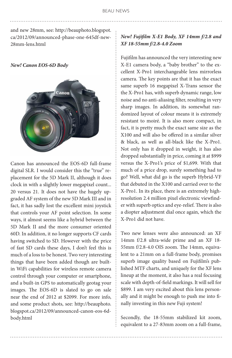and new 28mm, see: [http://beauphoto.blogspot.](http://beauphoto.blogspot.ca/2012/09/announced-phase-one-645df-new-28mm-lens.html) [ca/2012/09/announced-phase-one-645df-new-](http://beauphoto.blogspot.ca/2012/09/announced-phase-one-645df-new-28mm-lens.html)[28mm-lens.html](http://beauphoto.blogspot.ca/2012/09/announced-phase-one-645df-new-28mm-lens.html)

*New! Canon EOS-6D Body*



Canon has announced the EOS-6D full-frame digital SLR. I would consider this the "true" replacement for the 5D Mark II, although it does clock in with a slightly lower megapixel count... 20 versus 21. It does not have the hugely upgraded AF system of the new 5D Mark III and in fact, it has sadly lost the excellent mini joystick that controls your AF point selection. In some ways, it almost seems like a hybrid between the 5D Mark II and the more consumer oriented 60D. In addition, it no longer supports CF cards having switched to SD. However with the price of fast SD cards these days, I don't feel this is much of a loss to be honest. Two very interesting things that have been added though are builtin WiFi capabilities for wireless remote camera control through your computer or smartphone, and a built-in GPS to automatically geotag your images. The EOS-6D is slated to go on sale near the end of 2012 at \$2099. For more info, and some product shots, see: [http://beauphoto.](http://beauphoto.blogspot.ca/2012/09/announced-canon-eos-6d-body.html) [blogspot.ca/2012/09/announced-canon-eos-6d](http://beauphoto.blogspot.ca/2012/09/announced-canon-eos-6d-body.html)[body.html](http://beauphoto.blogspot.ca/2012/09/announced-canon-eos-6d-body.html)

#### *New! Fujifilm X-E1 Body, XF 14mm f/2.8 and XF 18-55mm f/2.8-4.0 Zoom*

Fujifilm has announced the very interesting new X-E1 camera body, a "baby brother" to the excellent X-Pro1 interchangeable lens mirrorless camera. The key points are that it has the exact same superb 16 megapixel X-Trans sensor the the X-Pro1 has, with superb dynamic range, low noise and no anti-aliasing filter, resulting in very sharp images. In addition, its somewhat randomized layout of colour means it is extremely resistant to moiré. It is also more compact, in fact, it is pretty much the exact same size as the X100 and will also be offered in a similar silver & black, as well as all-black like the X-Pro1. Not only has it dropped in weight, it has also dropped substantially in price, coming it at \$999 versus the X-Pro1's price of \$1,699. With that much of a price drop, surely something had to go? Well, what did go is the superb Hybrid-VF that debuted in the X100 and carried over to the X-Pro1. In its place, there is an extremely highresolution 2.4 million pixel electronic viewfinder with superb optics and eye-relief. There is also a diopter adjustment dial once again, which the X-Pro1 did not have.

Two new lenses were also announced: an XF 14mm f/2.8 ultra-wide prime and an XF 18- 55mm f/2.8-4.0 OIS zoom. The 14mm, equivalent to a 21mm on a full-frame body, promises superb image quality based on Fujifilm's published MTF charts, and uniquely for the XF lens lineup at the moment, it also has a real focusing scale with depth-of-field markings. It will sell for \$899. I am very excited about this lens personally and it might be enough to push me into finally investing in this new Fuji system!

Secondly, the 18-55mm stabilized kit zoom, equivalent to a 27-83mm zoom on a full-frame,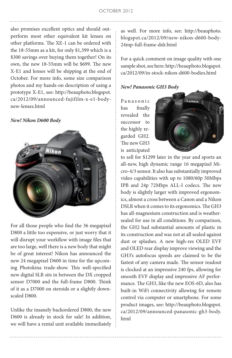also promises excellent optics and should outperform most other equivalent kit lenses on other platforms. The XE-1 can be ordered with the 18-55mm as a kit, for only \$1,399 which is a \$300 savings over buying them together! On its own, the new 18-55mm will be \$699. The new X-E1 and lenses will be shipping at the end of October. For more info, some size comparison photos and my hands-on description of using a prototype X-E1, see: [http://beauphoto.blogspot.](http://beauphoto.blogspot.ca/2012/09/announced-fujifilm-x-e1-body-new-lenses.html) [ca/2012/09/announced-fujifilm-x-e1-body](http://beauphoto.blogspot.ca/2012/09/announced-fujifilm-x-e1-body-new-lenses.html)[new-lenses.html](http://beauphoto.blogspot.ca/2012/09/announced-fujifilm-x-e1-body-new-lenses.html)

#### *New! Nikon D600 Body*



For all those people who find the 36 megapixel D800 a little too expensive, or just worry that it will disrupt your workflow with image files that are too large, well there is a new body that might be of great interest! Nikon has announced the new 24 megapixel D600 in time for the upcoming Photokina trade-show. This well-specified new digital SLR sits in between the DX cropped sensor D7000 and the full-frame D800. Think of it as a D7000 on steroids or a slightly downscaled D800.

Unlike the insanely backordered D800, the new D600 is already in stock for sale! In addition, we will have a rental unit available immediately

as well. For more info, see: [http://beauphoto.](http://beauphoto.blogspot.ca/2012/09/new-nikon-d600-body-24mp-full-frame-dslr.html) [blogspot.ca/2012/09/new-nikon-d600-body-](http://beauphoto.blogspot.ca/2012/09/new-nikon-d600-body-24mp-full-frame-dslr.html)[24mp-full-frame-dslr.html](http://beauphoto.blogspot.ca/2012/09/new-nikon-d600-body-24mp-full-frame-dslr.html)

For a quick comment on image quality with one sample shot, see here: [http://beauphoto.blogspot.](http://beauphoto.blogspot.ca/2012/09/in-stock-nikon-d600-bodies.html) [ca/2012/09/in-stock-nikon-d600-bodies.html](http://beauphoto.blogspot.ca/2012/09/in-stock-nikon-d600-bodies.html)

#### *New! Panasonic GH3 Body*

P a n a s o n i c has finally revealed the successor to the highly regarded GH2. The new GH3 is anticipated



to sell for \$1299 later in the year and sports an all-new, high dynamic range 16 megapixel Micro-4/3 sensor. It also has substantially improved video capabilities with up to 1080/60p 50Mbps IPB and 24p 72Mbps ALL-I codecs. The new body is slightly larger with improved ergonomics, almost a cross between a Canon and a Nikon DSLR when it comes to its ergonomics. The GH3 has all-magnesium construction and is weathersealed for use in all conditions. By comparison, the GH2 had substantial amounts of plastic in its construction and was not at all sealed against dust or splashes. A new high-res OLED EVF and OLED rear display improve viewing and the GH3's autofocus speeds are claimed to be the fastest of any camera made. The sensor readout is clocked at an impressive 240 fps, allowing for smooth EVF display and impressive AF performance. The GH3, like the new EOS-6D, also has built-in WiFi connectivity allowing for remote control via computer or smartphone. For some product images, see: [http://beauphoto.blogspot.](http://beauphoto.blogspot.ca/2012/09/announced-panasonic-gh3-body.html) [ca/2012/09/announced-panasonic-gh3-body.](http://beauphoto.blogspot.ca/2012/09/announced-panasonic-gh3-body.html) [html](http://beauphoto.blogspot.ca/2012/09/announced-panasonic-gh3-body.html)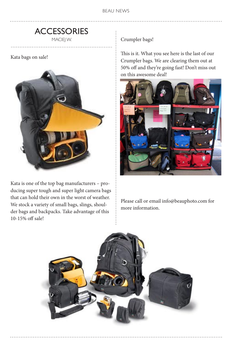### **ACCESSORIES** MACIEJ W.

Kata bags on sale!



Kata is one of the top bag manufacturers – producing super tough and super light camera bags that can hold their own in the worst of weather. We stock a variety of small bags, slings, shoulder bags and backpacks. Take advantage of this 10-15% off sale!

Crumpler bags!

This is it. What you see here is the last of our Crumpler bags. We are clearing them out at 50% off and they're going fast! Don't miss out on this awesome deal!



Please call or email info@beauphoto.com for more information.

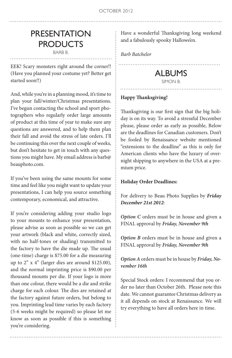# PRESENTATION **PRODUCTS**

BARB B.

EEK! Scary monsters right around the corner!! (Have you planned your costume yet? Better get started soon!!)

And, while you're in a planning mood, it's time to plan your fall/winter/Christmas presentations. I've begun contacting the school and sport photographers who regularly order large amounts of product at this time of year to make sure any questions are answered, and to help them plan their fall and avoid the stress of late orders. I'll be continuing this over the next couple of weeks, but don't hesitate to get in touch with any questions you might have. My email address is barb@ beauphoto.com.

If you've been using the same mounts for some time and feel like you might want to update your presentations, I can help you source something contemporary, economical, and attractive.

If you're considering adding your studio logo to your mounts to enhance your presentation, please advise as soon as possible so we can get your artwork (black and white, correctly sized, with no half-tones or shading) transmitted to the factory to have the die made up. The usual (one-time) charge is \$75.00 for a die measuring up to 2" x 4" (larger dies are around \$125.00), and the normal imprinting price is \$90.00 per thousand mounts per die. If your logo is more than one colour, there would be a die and strike charge for each colour. The dies are retained at the factory against future orders, but belong to you. Imprinting lead time varies by each factory (5-6 weeks might be required) so please let me know as soon as possible if this is something you're considering.

Have a wonderful Thanksgiving long weekend and a fabulously spooky Hallowe'en.

*Barb Batchelor*

# ALBUMS

SIMON B.

#### **Happy Thanksgiving!**

Thanksgiving is our first sign that the big holiday is on its way. To avoid a stressful December please, please order as early as possible, Below are the deadlines for Canadian customers. Don't be fooled by Renaissance website mentioned "extensions to the deadline" as this is only for American clients who have the luxury of overnight shipping to anywhere in the USA at a premium price.

#### **Holiday Order Deadlines:**

For delivery to Beau Photo Supplies by *Friday December 21st 2012*:

*Option C* orders must be in house and given a FINAL approval by *Friday, November 9th*

*Option B* orders must be in house and given a FINAL approval by *Friday, November 9th*

*Option A* orders must be in house by *Friday, November 16th*

Special Stock orders: I recommend that you order no later than October 26th. Please note this date. We cannot guarantee Christmas delivery as it all depends on stock at Renaissance. We will try everything to have all orders here in time.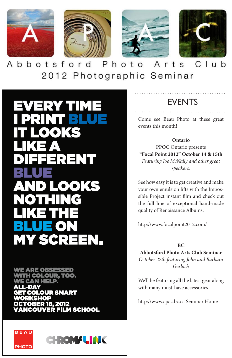

 $C$ lub Abbotsford Photo Arts 2012 Photographic Seminar

VERY TIME **1' (3)** RENT OOKS **MY SCREEN.** 

**ARE OBSESSED COLOUR, TOO. HELP. COLOUR SMART** 1OP **OBER 18, 2012** COUVER FILM SCHOOL





# **EVENTS**

Come see Beau Photo at these great events this month!

**Ontario** PPOC Ontario presents **"Focal Point 2012" October 14 & 15th**  *Featuring Joe McNally and other great speakers.*

See how easy it is to get creative and make your own emulsion lifts with the Impossible Project instant film and check out the full line of exceptional hand-made quality of Renaissance Albums.

<http://www.focalpoint2012.com/>

 $\mathbf{R}^{\mathcal{C}}$ 

**Abbotsford Photo Arts Club Seminar**  *October 27th featuring John and Barbara Gerlach*

We'll be featuring all the latest gear along with many must-have accessories.

[http://www.apac.bc.ca Seminar Home](http://apac.bc.ca/Seminar%202012/Seminar%20Home%202012.html)